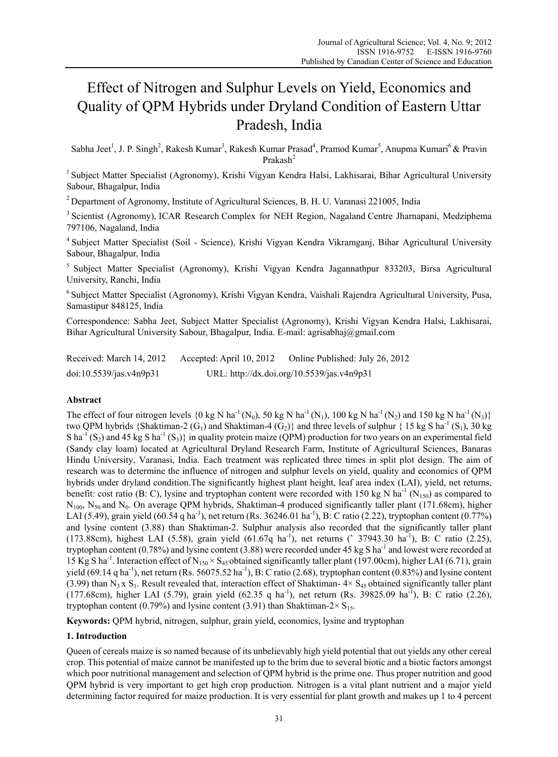# Effect of Nitrogen and Sulphur Levels on Yield, Economics and Quality of QPM Hybrids under Dryland Condition of Eastern Uttar Pradesh, India

Sabha Jeet<sup>1</sup>, J. P. Singh<sup>2</sup>, Rakesh Kumar<sup>3</sup>, Rakesh Kumar Prasad<sup>4</sup>, Pramod Kumar<sup>5</sup>, Anupma Kumari<sup>6</sup> & Pravin Prakash<sup>2</sup>

<sup>1</sup> Subject Matter Specialist (Agronomy), Krishi Vigyan Kendra Halsi, Lakhisarai, Bihar Agricultural University Sabour, Bhagalpur, India

2 Department of Agronomy, Institute of Agricultural Sciences, B. H. U. Varanasi 221005, India

<sup>3</sup> Scientist (Agronomy), ICAR Research Complex for NEH Region, Nagaland Centre Jharnapani, Medziphema 797106, Nagaland, India

4 Subject Matter Specialist (Soil - Science), Krishi Vigyan Kendra Vikramganj, Bihar Agricultural University Sabour, Bhagalpur, India

5 Subject Matter Specialist (Agronomy), Krishi Vigyan Kendra Jagannathpur 833203, Birsa Agricultural University, Ranchi, India

6 Subject Matter Specialist (Agronomy), Krishi Vigyan Kendra, Vaishali Rajendra Agricultural University, Pusa, Samastipur 848125, India

Correspondence: Sabha Jeet, Subject Matter Specialist (Agronomy), Krishi Vigyan Kendra Halsi, Lakhisarai, Bihar Agricultural University Sabour, Bhagalpur, India. E-mail: agrisabhaj@gmail.com

| Received: March 14, 2012 | Accepted: April 10, 2012 | Online Published: July 26, 2012            |
|--------------------------|--------------------------|--------------------------------------------|
| doi:10.5539/jas.v4n9p31  |                          | URL: http://dx.doi.org/10.5539/jas.v4n9p31 |

# **Abstract**

The effect of four nitrogen levels  $\{0 \text{ kg N} \text{ ha}^{-1}(\text{N}_0), 50 \text{ kg N} \text{ ha}^{-1}(\text{N}_1), 100 \text{ kg N} \text{ ha}^{-1}(\text{N}_2) \text{ and } 150 \text{ kg N} \text{ ha}^{-1}(\text{N}_3)\}$ two OPM hybrids {Shaktiman-2 (G<sub>1</sub>) and Shaktiman-4 (G<sub>2</sub>)} and three levels of sulphur { 15 kg S ha<sup>-1</sup> (S<sub>1</sub>), 30 kg S ha<sup>-1</sup> (S<sub>2</sub>) and 45 kg S ha<sup>-1</sup> (S<sub>3</sub>)} in quality protein maize (QPM) production for two years on an experimental field (Sandy clay loam) located at Agricultural Dryland Research Farm, Institute of Agricultural Sciences, Banaras Hindu University, Varanasi, India. Each treatment was replicated three times in split plot design. The aim of research was to determine the influence of nitrogen and sulphur levels on yield, quality and economics of QPM hybrids under dryland condition.The significantly highest plant height, leaf area index (LAI), yield, net returns, benefit: cost ratio (B: C), lysine and tryptophan content were recorded with 150 kg N ha<sup>-1</sup> (N<sub>150</sub>) as compared to N<sub>100</sub>, N<sub>50</sub> and N<sub>0</sub>. On average QPM hybrids, Shaktiman-4 produced significantly taller plant (171.68cm), higher LAI (5.49), grain yield (60.54 q ha<sup>-1</sup>), net return (Rs. 36246.01 ha<sup>-1</sup>), B: C ratio (2.22), tryptophan content (0.77%) and lysine content (3.88) than Shaktiman-2. Sulphur analysis also recorded that the significantly taller plant (173.88cm), highest LAI (5.58), grain yield (61.67q ha-1), net returns (**`** 37943.30 ha-1), B: C ratio (2.25), tryptophan content  $(0.78\%)$  and lysine content  $(3.88)$  were recorded under 45 kg S ha<sup>-1</sup> and lowest were recorded at 15 Kg S ha<sup>-1</sup>. Interaction effect of N<sub>150</sub> × S<sub>45</sub> obtained significantly taller plant (197.00cm), higher LAI (6.71), grain yield  $(69.14 \text{ q ha}^{-1})$ , net return  $(Rs. 56075.52 \text{ ha}^{-1})$ , B: C ratio  $(2.68)$ , tryptophan content  $(0.83\%)$  and lysine content (3.99) than N<sub>3</sub> x S<sub>1</sub>. Result revealed that, interaction effect of Shaktiman-  $4 \times S_{45}$  obtained significantly taller plant (177.68cm), higher LAI (5.79), grain yield (62.35 q ha<sup>-1</sup>), net return (Rs. 39825.09 ha<sup>-1</sup>), B: C ratio (2.26), tryptophan content (0.79%) and lysine content (3.91) than Shaktiman-2 $\times$  S<sub>15</sub>.

**Keywords:** QPM hybrid, nitrogen, sulphur, grain yield, economics, lysine and tryptophan

# **1. Introduction**

Queen of cereals maize is so named because of its unbelievably high yield potential that out yields any other cereal crop. This potential of maize cannot be manifested up to the brim due to several biotic and a biotic factors amongst which poor nutritional management and selection of QPM hybrid is the prime one. Thus proper nutrition and good QPM hybrid is very important to get high crop production. Nitrogen is a vital plant nutrient and a major yield determining factor required for maize production. It is very essential for plant growth and makes up 1 to 4 percent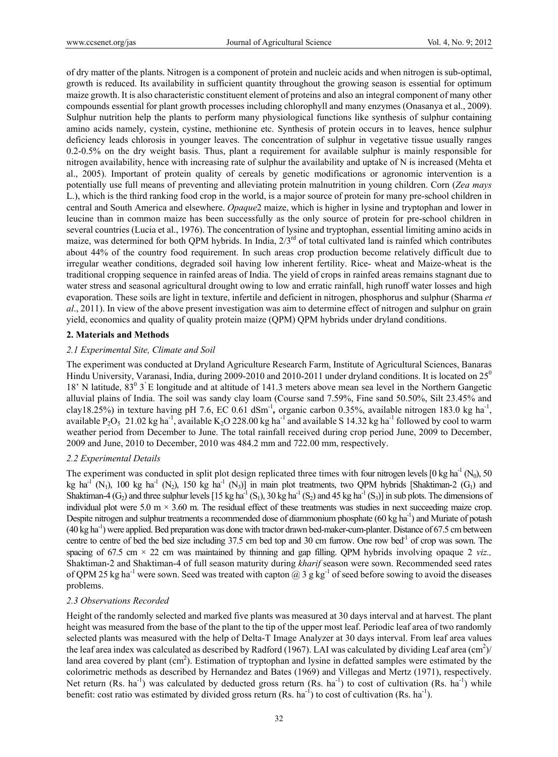of dry matter of the plants. Nitrogen is a component of protein and nucleic acids and when nitrogen is sub-optimal, growth is reduced. Its availability in sufficient quantity throughout the growing season is essential for optimum maize growth. It is also characteristic constituent element of proteins and also an integral component of many other compounds essential for plant growth processes including chlorophyll and many enzymes (Onasanya et al., 2009). Sulphur nutrition help the plants to perform many physiological functions like synthesis of sulphur containing amino acids namely, cystein, cystine, methionine etc. Synthesis of protein occurs in to leaves, hence sulphur deficiency leads chlorosis in younger leaves. The concentration of sulphur in vegetative tissue usually ranges 0.2-0.5% on the dry weight basis. Thus, plant a requirement for available sulphur is mainly responsible for nitrogen availability, hence with increasing rate of sulphur the availability and uptake of N is increased (Mehta et al., 2005). Important of protein quality of cereals by genetic modifications or agronomic intervention is a potentially use full means of preventing and alleviating protein malnutrition in young children. Corn (*Zea mays* L.), which is the third ranking food crop in the world, is a major source of protein for many pre-school children in central and South America and elsewhere. *Opaque*2 maize, which is higher in lysine and tryptophan and lower in leucine than in common maize has been successfully as the only source of protein for pre-school children in several countries (Lucia et al., 1976). The concentration of lysine and tryptophan, essential limiting amino acids in maize, was determined for both QPM hybrids. In India,  $2/3<sup>rd</sup>$  of total cultivated land is rainfed which contributes about 44% of the country food requirement. In such areas crop production become relatively difficult due to irregular weather conditions, degraded soil having low inherent fertility. Rice- wheat and Maize-wheat is the traditional cropping sequence in rainfed areas of India. The yield of crops in rainfed areas remains stagnant due to water stress and seasonal agricultural drought owing to low and erratic rainfall, high runoff water losses and high evaporation. These soils are light in texture, infertile and deficient in nitrogen, phosphorus and sulphur (Sharma *et al*., 2011). In view of the above present investigation was aim to determine effect of nitrogen and sulphur on grain yield, economics and quality of quality protein maize (QPM) QPM hybrids under dryland conditions.

# **2. Materials and Methods**

# *2.1 Experimental Site, Climate and Soil*

The experiment was conducted at Dryland Agriculture Research Farm, Institute of Agricultural Sciences, Banaras Hindu University, Varanasi, India, during 2009-2010 and 2010-2011 under dryland conditions. It is located on 25<sup>0</sup> 18' N latitude,  $83^{\circ}$  3<sup>'</sup> E longitude and at altitude of 141.3 meters above mean sea level in the Northern Gangetic alluvial plains of India. The soil was sandy clay loam (Course sand 7.59%, Fine sand 50.50%, Silt 23.45% and clay18.25%) in texture having pH 7.6, EC 0.61 dSm<sup>-1</sup>, organic carbon 0.35%, available nitrogen 183.0 kg ha<sup>-1</sup>, available P<sub>2</sub>O<sub>5</sub> 21.02 kg ha<sup>-1</sup>, available K<sub>2</sub>O 228.00 kg ha<sup>-1</sup> and available S 14.32 kg ha<sup>-1</sup> followed by cool to warm weather period from December to June. The total rainfall received during crop period June, 2009 to December, 2009 and June, 2010 to December, 2010 was 484.2 mm and 722.00 mm, respectively.

# *2.2 Experimental Details*

The experiment was conducted in split plot design replicated three times with four nitrogen levels  $[0 \text{ kg ha}^{-1} (\text{N}_0), 50]$ kg ha<sup>-1</sup> (N<sub>1</sub>), 100 kg ha<sup>-1</sup> (N<sub>2</sub>), 150 kg ha<sup>-1</sup> (N<sub>3</sub>)] in main plot treatments, two QPM hybrids [Shaktiman-2 (G<sub>1</sub>) and Shaktiman-4 (G<sub>2</sub>) and three sulphur levels [15 kg ha<sup>-1</sup> (S<sub>1</sub>), 30 kg ha<sup>-1</sup> (S<sub>2</sub>) and 45 kg ha<sup>-1</sup> (S<sub>3</sub>)] in sub plots. The dimensions of individual plot were 5.0 m  $\times$  3.60 m. The residual effect of these treatments was studies in next succeeding maize crop. Despite nitrogen and sulphur treatments a recommended dose of diammonium phosphate (60 kg ha<sup>-1</sup>) and Muriate of potash  $(40 \text{ kg ha}^{-1})$  were applied. Bed preparation was done with tractor drawn bed-maker-cum-planter. Distance of 67.5 cm between centre to centre of bed the bed size including  $37.5$  cm bed top and  $30$  cm furrow. One row bed<sup>-1</sup> of crop was sown. The spacing of 67.5 cm  $\times$  22 cm was maintained by thinning and gap filling. QPM hybrids involving opaque 2 *viz.*, Shaktiman-2 and Shaktiman-4 of full season maturity during *kharif* season were sown. Recommended seed rates of QPM 25 kg ha<sup>-1</sup> were sown. Seed was treated with capton @ 3 g kg<sup>-1</sup> of seed before sowing to avoid the diseases problems.

# *2.3 Observations Recorded*

Height of the randomly selected and marked five plants was measured at 30 days interval and at harvest. The plant height was measured from the base of the plant to the tip of the upper most leaf. Periodic leaf area of two randomly selected plants was measured with the help of Delta-T Image Analyzer at 30 days interval. From leaf area values the leaf area index was calculated as described by Radford (1967). LAI was calculated by dividing Leaf area  $\rm (cm^2)/$ land area covered by plant  $(cm<sup>2</sup>)$ . Estimation of tryptophan and lysine in defatted samples were estimated by the colorimetric methods as described by Hernandez and Bates (1969) and Villegas and Mertz (1971), respectively. Net return (Rs. ha<sup>-1</sup>) was calculated by deducted gross return (Rs. ha<sup>-1</sup>) to cost of cultivation (Rs. ha<sup>-1</sup>) while benefit: cost ratio was estimated by divided gross return (Rs.  $ha^{-1}$ ) to cost of cultivation (Rs.  $ha^{-1}$ ).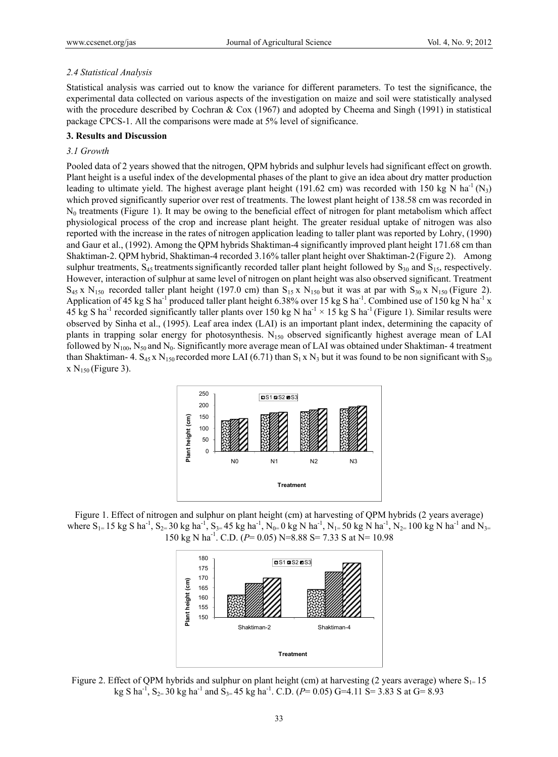#### *2.4 Statistical Analysis*

Statistical analysis was carried out to know the variance for different parameters. To test the significance, the experimental data collected on various aspects of the investigation on maize and soil were statistically analysed with the procedure described by Cochran & Cox (1967) and adopted by Cheema and Singh (1991) in statistical package CPCS-1. All the comparisons were made at 5% level of significance.

# **3. Results and Discussion**

# *3.1 Growth*

Pooled data of 2 years showed that the nitrogen, QPM hybrids and sulphur levels had significant effect on growth. Plant height is a useful index of the developmental phases of the plant to give an idea about dry matter production leading to ultimate yield. The highest average plant height (191.62 cm) was recorded with 150 kg N ha<sup>-1</sup> (N<sub>3</sub>) which proved significantly superior over rest of treatments. The lowest plant height of 138.58 cm was recorded in N0 treatments (Figure 1). It may be owing to the beneficial effect of nitrogen for plant metabolism which affect physiological process of the crop and increase plant height. The greater residual uptake of nitrogen was also reported with the increase in the rates of nitrogen application leading to taller plant was reported by Lohry, (1990) and Gaur et al., (1992). Among the QPM hybrids Shaktiman-4 significantly improved plant height 171.68 cm than Shaktiman-2. QPM hybrid, Shaktiman-4 recorded 3.16% taller plant height over Shaktiman-2 (Figure 2). Among sulphur treatments,  $S_{45}$  treatments significantly recorded taller plant height followed by  $S_{30}$  and  $S_{15}$ , respectively. However, interaction of sulphur at same level of nitrogen on plant height was also observed significant. Treatment  $S_{45}$  x N<sub>150</sub> recorded taller plant height (197.0 cm) than  $S_{15}$  x N<sub>150</sub> but it was at par with  $S_{30}$  x N<sub>150</sub> (Figure 2). Application of 45 kg S ha<sup>-1</sup> produced taller plant height 6.38% over 15 kg S ha<sup>-1</sup>. Combined use of 150 kg N ha<sup>-1</sup> x 45 kg S ha<sup>-1</sup> recorded significantly taller plants over 150 kg N ha<sup>-1</sup>  $\times$  15 kg S ha<sup>-1</sup> (Figure 1). Similar results were observed by Sinha et al., (1995). Leaf area index (LAI) is an important plant index, determining the capacity of plants in trapping solar energy for photosynthesis.  $N_{150}$  observed significantly highest average mean of LAI followed by  $N_{100}$ ,  $N_{50}$  and  $N_0$ . Significantly more average mean of LAI was obtained under Shaktiman-4 treatment than Shaktiman- 4. S<sub>45</sub> x N<sub>150</sub> recorded more LAI (6.71) than S<sub>1</sub> x N<sub>3</sub> but it was found to be non significant with S<sub>30</sub>  $x N_{150}$  (Figure 3).



Figure 1. Effect of nitrogen and sulphur on plant height (cm) at harvesting of QPM hybrids (2 years average) where  $S_{1}= 15$  kg S ha<sup>-1</sup>,  $S_{2}= 30$  kg ha<sup>-1</sup>,  $S_{3}= 45$  kg ha<sup>-1</sup>, N<sub>0</sub>= 0 kg N ha<sup>-1</sup>, N<sub>1</sub>= 50 kg N ha<sup>-1</sup>, N<sub>2</sub>= 100 kg N ha<sup>-1</sup> and N<sub>3</sub>= 150 kg N ha-1. C.D. (*P*= 0.05) N=8.88 S= 7.33 S at N= 10.98



Figure 2. Effect of QPM hybrids and sulphur on plant height (cm) at harvesting (2 years average) where  $S_{1=}15$ kg S ha<sup>-1</sup>, S<sub>2</sub>= 30 kg ha<sup>-1</sup> and S<sub>3</sub>= 45 kg ha<sup>-1</sup>. C.D. (*P*= 0.05) G=4.11 S= 3.83 S at G= 8.93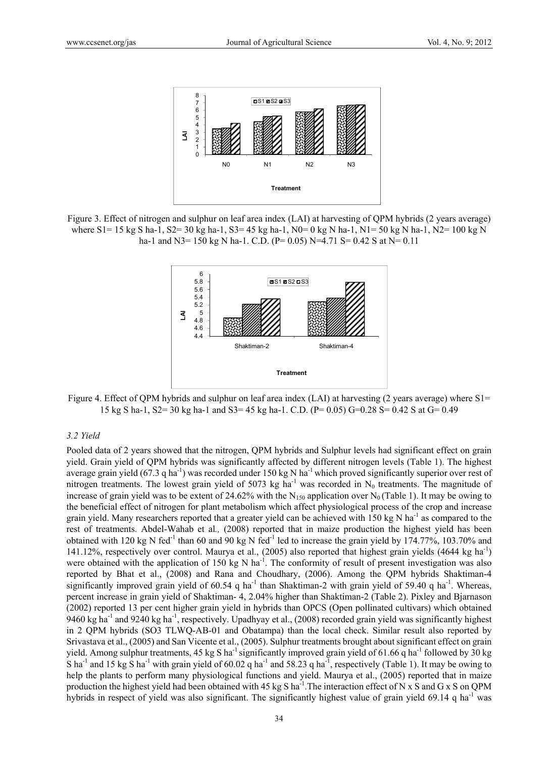

Figure 3. Effect of nitrogen and sulphur on leaf area index (LAI) at harvesting of QPM hybrids (2 years average) where S1= 15 kg S ha-1, S2= 30 kg ha-1, S3= 45 kg ha-1, N0= 0 kg N ha-1, N1= 50 kg N ha-1, N2= 100 kg N ha-1 and N3= 150 kg N ha-1. C.D. (P= 0.05) N=4.71 S= 0.42 S at N= 0.11



Figure 4. Effect of QPM hybrids and sulphur on leaf area index (LAI) at harvesting (2 years average) where S1= 15 kg S ha-1, S2= 30 kg ha-1 and S3= 45 kg ha-1. C.D. (P= 0.05) G=0.28 S= 0.42 S at G= 0.49

#### *3.2 Yield*

Pooled data of 2 years showed that the nitrogen, QPM hybrids and Sulphur levels had significant effect on grain yield. Grain yield of QPM hybrids was significantly affected by different nitrogen levels (Table 1). The highest average grain yield (67.3 q ha<sup>-1</sup>) was recorded under 150 kg N ha<sup>-1</sup> which proved significantly superior over rest of nitrogen treatments. The lowest grain yield of 5073 kg ha<sup>-1</sup> was recorded in  $N_0$  treatments. The magnitude of increase of grain yield was to be extent of 24.62% with the N<sub>150</sub> application over N<sub>0</sub> (Table 1). It may be owing to the beneficial effect of nitrogen for plant metabolism which affect physiological process of the crop and increase grain yield. Many researchers reported that a greater yield can be achieved with 150 kg N ha<sup>-1</sup> as compared to the rest of treatments. Abdel-Wahab et al*.,* (2008) reported that in maize production the highest yield has been obtained with 120 kg N fed<sup>-1</sup> than 60 and 90 kg N fed<sup>-1</sup> led to increase the grain yield by 174.77%, 103.70% and 141.12%, respectively over control. Maurya et al., (2005) also reported that highest grain yields (4644 kg ha<sup>-1</sup>) were obtained with the application of 150 kg N ha<sup>-1</sup>. The conformity of result of present investigation was also reported by Bhat et al., (2008) and Rana and Choudhary, (2006). Among the QPM hybrids Shaktiman-4 significantly improved grain yield of  $60.54$  q ha<sup>-1</sup> than Shaktiman-2 with grain yield of  $59.40$  q ha<sup>-1</sup>. Whereas, percent increase in grain yield of Shaktiman- 4, 2.04% higher than Shaktiman-2 (Table 2). Pixley and Bjarnason (2002) reported 13 per cent higher grain yield in hybrids than OPCS (Open pollinated cultivars) which obtained 9460 kg ha<sup>-1</sup> and 9240 kg ha<sup>-1</sup>, respectively. Upadhyay et al., (2008) recorded grain yield was significantly highest in 2 QPM hybrids (SO3 TLWQ-AB-01 and Obatampa) than the local check. Similar result also reported by Srivastava et al., (2005) and San Vicente et al., (2005). Sulphur treatments brought about significant effect on grain yield. Among sulphur treatments,  $45 \text{ kg S}$  ha<sup>-1</sup> significantly improved grain yield of 61.66 q ha<sup>-1</sup> followed by 30 kg S ha<sup>-1</sup> and 15 kg S ha<sup>-1</sup> with grain yield of 60.02 q ha<sup>-1</sup> and 58.23 q ha<sup>-1</sup>, respectively (Table 1). It may be owing to help the plants to perform many physiological functions and yield. Maurya et al., (2005) reported that in maize production the highest yield had been obtained with 45 kg S ha<sup>-1</sup>. The interaction effect of N x S and G x S on QPM hybrids in respect of yield was also significant. The significantly highest value of grain yield  $69.14$  q ha<sup>-1</sup> was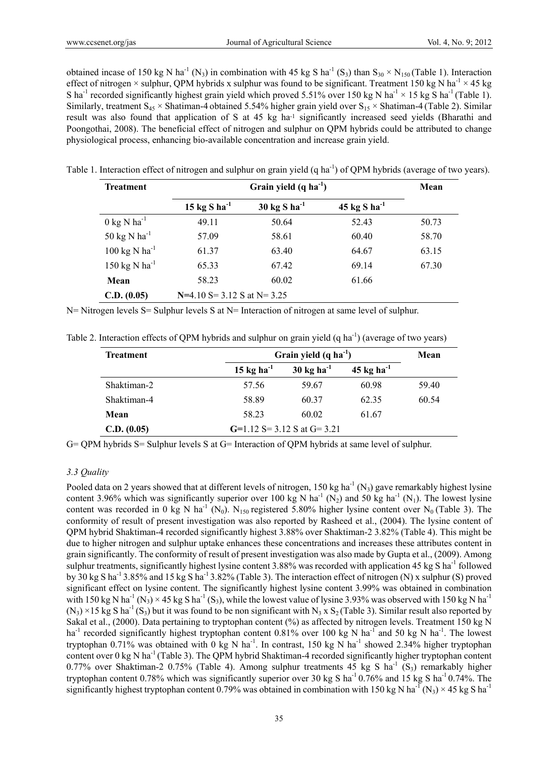obtained incase of 150 kg N ha<sup>-1</sup> (N<sub>3</sub>) in combination with 45 kg S ha<sup>-1</sup> (S<sub>3</sub>) than S<sub>30</sub> × N<sub>150</sub> (Table 1). Interaction effect of nitrogen × sulphur, QPM hybrids x sulphur was found to be significant. Treatment 150 kg N ha<sup>-1</sup> × 45 kg S ha<sup>-1</sup> recorded significantly highest grain yield which proved 5.51% over 150 kg N ha<sup>-1</sup> × 15 kg S ha<sup>-1</sup> (Table 1). Similarly, treatment  $S_{45} \times Shatiman-4$  obtained 5.54% higher grain yield over  $S_{15} \times Shatiman-4$  (Table 2). Similar result was also found that application of S at 45 kg ha<sup>-1</sup> significantly increased seed yields (Bharathi and Poongothai, 2008). The beneficial effect of nitrogen and sulphur on QPM hybrids could be attributed to change physiological process, enhancing bio-available concentration and increase grain yield.

Table 1. Interaction effect of nitrogen and sulphur on grain yield (q ha<sup>-1</sup>) of OPM hybrids (average of two years).

| <b>Treatment</b>                   |                                   | Mean                               |                                   |       |
|------------------------------------|-----------------------------------|------------------------------------|-----------------------------------|-------|
|                                    | $15 \text{ kg S} \text{ ha}^{-1}$ | $30 \text{ kg}$ S ha <sup>-1</sup> | $45 \text{ kg S} \text{ ha}^{-1}$ |       |
| $0 \text{ kg N} \text{ ha}^{-1}$   | 49.11                             | 50.64                              | 52.43                             | 50.73 |
| 50 kg N ha <sup>-1</sup>           | 57.09                             | 58.61                              | 60.40                             | 58.70 |
| $100 \text{ kg N} \text{ ha}^{-1}$ | 61.37                             | 63.40                              | 64.67                             | 63.15 |
| 150 kg N $ha^{-1}$                 | 65.33                             | 67.42                              | 69.14                             | 67.30 |
| Mean                               | 58.23                             | 60.02                              | 61.66                             |       |
| C.D. (0.05)                        | $N=4.10 S=3.12 S$ at $N=3.25$     |                                    |                                   |       |

N= Nitrogen levels S= Sulphur levels S at N= Interaction of nitrogen at same level of sulphur.

Table 2. Interaction effects of QPM hybrids and sulphur on grain yield (q ha<sup>-1</sup>) (average of two years)

| <b>Treatment</b> | Grain yield $(q ha^{-1})$     | Mean                            |                                 |       |
|------------------|-------------------------------|---------------------------------|---------------------------------|-------|
|                  | 15 kg ha $^{-1}$              | $30 \text{ kg} \text{ ha}^{-1}$ | $45 \text{ kg} \text{ ha}^{-1}$ |       |
| Shaktiman-2      | 57.56                         | 59.67                           | 60.98                           | 59.40 |
| Shaktiman-4      | 58.89                         | 60.37                           | 62.35                           | 60.54 |
| Mean             | 58.23                         | 60.02                           | 61.67                           |       |
| C.D. (0.05)      | $G=1.12 S=3.12 S$ at $G=3.21$ |                                 |                                 |       |

G= QPM hybrids S= Sulphur levels S at G= Interaction of QPM hybrids at same level of sulphur.

# *3.3 Quality*

Pooled data on 2 years showed that at different levels of nitrogen, 150 kg ha<sup>-1</sup> (N<sub>3</sub>) gave remarkably highest lysine content 3.96% which was significantly superior over 100 kg N ha<sup>-1</sup> (N<sub>2</sub>) and 50 kg ha<sup>-1</sup> (N<sub>1</sub>). The lowest lysine content was recorded in 0 kg N ha<sup>-1</sup> (N<sub>0</sub>). N<sub>150</sub> registered 5.80% higher lysine content over N<sub>0</sub> (Table 3). The conformity of result of present investigation was also reported by Rasheed et al., (2004). The lysine content of QPM hybrid Shaktiman-4 recorded significantly highest 3.88% over Shaktiman-2 3.82% (Table 4). This might be due to higher nitrogen and sulphur uptake enhances these concentrations and increases these attributes content in grain significantly. The conformity of result of present investigation was also made by Gupta et al., (2009). Among sulphur treatments, significantly highest lysine content 3.88% was recorded with application 45 kg S ha<sup>-1</sup> followed by 30 kg S ha-1 3.85% and 15 kg S ha-1 3.82% (Table 3). The interaction effect of nitrogen (N) x sulphur (S) proved significant effect on lysine content. The significantly highest lysine content 3.99% was obtained in combination with 150 kg N ha<sup>-1</sup> (N<sub>3</sub>) × 45 kg S ha<sup>-1</sup> (S<sub>3</sub>), while the lowest value of lysine 3.93% was observed with 150 kg N ha<sup>-1</sup>  $(N_3) \times 15$  kg S ha<sup>-1</sup> (S<sub>3</sub>) but it was found to be non significant with N<sub>3</sub> x S<sub>2</sub> (Table 3). Similar result also reported by Sakal et al., (2000). Data pertaining to tryptophan content (%) as affected by nitrogen levels. Treatment 150 kg N ha<sup>-1</sup> recorded significantly highest tryptophan content 0.81% over 100 kg N ha<sup>-1</sup> and 50 kg N ha<sup>-1</sup>. The lowest tryptophan 0.71% was obtained with 0 kg N ha<sup>-1</sup>. In contrast, 150 kg N ha<sup>-1</sup> showed 2.34% higher tryptophan content over 0 kg N ha<sup>-1</sup> (Table 3). The QPM hybrid Shaktiman-4 recorded significantly higher tryptophan content 0.77% over Shaktiman-2 0.75% (Table 4). Among sulphur treatments 45 kg S ha<sup>-1</sup> (S<sub>3</sub>) remarkably higher tryptophan content 0.78% which was significantly superior over 30 kg S ha<sup>-1</sup> 0.76% and 15 kg S ha<sup>-1</sup> 0.74%. The significantly highest tryptophan content 0.79% was obtained in combination with 150 kg N ha<sup>-1</sup> (N<sub>3</sub>) × 45 kg S ha<sup>-1</sup>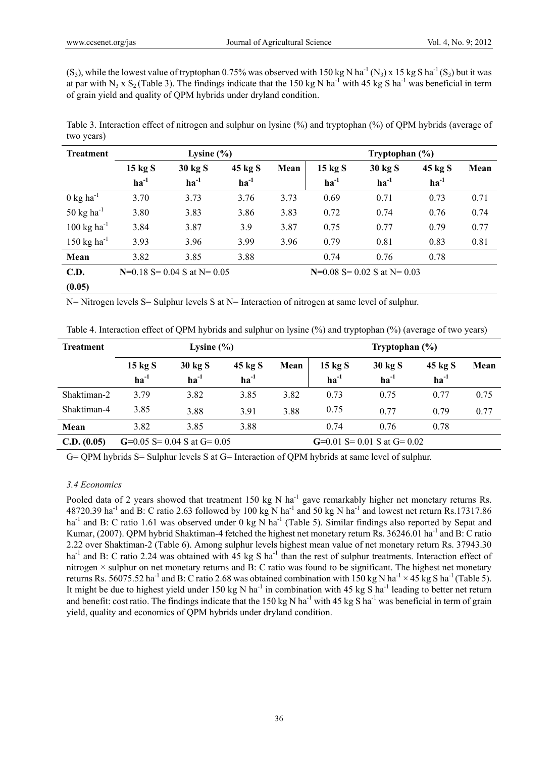$(S_3)$ , while the lowest value of tryptophan 0.75% was observed with 150 kg N ha<sup>-1</sup> (N<sub>3</sub>) x 15 kg S ha<sup>-1</sup> (S<sub>3</sub>) but it was at par with N<sub>3</sub> x S<sub>2</sub> (Table 3). The findings indicate that the 150 kg N ha<sup>-1</sup> with 45 kg S ha<sup>-1</sup> was beneficial in term of grain yield and quality of QPM hybrids under dryland condition.

Table 3. Interaction effect of nitrogen and sulphur on lysine (%) and tryptophan (%) of QPM hybrids (average of two years)

| <b>Treatment</b>                 | Lysine $(\% )$                  |           |           |                                 | Tryptophan $(\% )$ |           |           |      |
|----------------------------------|---------------------------------|-----------|-----------|---------------------------------|--------------------|-----------|-----------|------|
|                                  | 15 kg S                         | 30 kg S   | 45 kg S   | Mean                            | $15 \text{ kg}$ S  | 30 kg S   | 45 kg S   | Mean |
|                                  | $ha^{-1}$                       | $ha^{-1}$ | $ha^{-1}$ |                                 | $ha^{-1}$          | $ha^{-1}$ | $ha^{-1}$ |      |
| $0 \text{ kg ha}^{-1}$           | 3.70                            | 3.73      | 3.76      | 3.73                            | 0.69               | 0.71      | 0.73      | 0.71 |
| 50 $kg$ ha <sup>-1</sup>         | 3.80                            | 3.83      | 3.86      | 3.83                            | 0.72               | 0.74      | 0.76      | 0.74 |
| $100 \text{ kg} \text{ ha}^{-1}$ | 3.84                            | 3.87      | 3.9       | 3.87                            | 0.75               | 0.77      | 0.79      | 0.77 |
| 150 kg ha <sup>-1</sup>          | 3.93                            | 3.96      | 3.99      | 3.96                            | 0.79               | 0.81      | 0.83      | 0.81 |
| Mean                             | 3.82                            | 3.85      | 3.88      |                                 | 0.74               | 0.76      | 0.78      |      |
| <b>C.D.</b>                      | $N=0.18$ S = 0.04 S at N = 0.05 |           |           | $N=0.08$ S = 0.02 S at N = 0.03 |                    |           |           |      |
| (0.05)                           |                                 |           |           |                                 |                    |           |           |      |

N= Nitrogen levels S= Sulphur levels S at N= Interaction of nitrogen at same level of sulphur.

|  |  | Table 4. Interaction effect of QPM hybrids and sulphur on lysine (%) and tryptophan (%) (average of two years) |
|--|--|----------------------------------------------------------------------------------------------------------------|
|  |  |                                                                                                                |

| <b>Treatment</b> | Lysine $(\% )$                  |                      |                      |      | Tryptophan $(\% )$             |                               |                      |      |
|------------------|---------------------------------|----------------------|----------------------|------|--------------------------------|-------------------------------|----------------------|------|
|                  | $15 \text{ kg}$ S<br>$ha^{-1}$  | 30 kg S<br>$ha^{-1}$ | 45 kg S<br>$ha^{-1}$ | Mean | $15 \text{ kg}$ S<br>$ha^{-1}$ | 30 kg S<br>$ha^{-1}$          | 45 kg S<br>$ha^{-1}$ | Mean |
| Shaktiman-2      | 3.79                            | 3.82                 | 3.85                 | 3.82 | 0.73                           | 0.75                          | 0.77                 | 0.75 |
| Shaktiman-4      | 3.85                            | 3.88                 | 3.91                 | 3.88 | 0.75                           | 0.77                          | 0.79                 | 0.77 |
| Mean             | 3.82                            | 3.85                 | 3.88                 |      | 0.74                           | 0.76                          | 0.78                 |      |
| C.D. (0.05)      | $G=0.05$ S = 0.04 S at $G=0.05$ |                      |                      |      |                                | $G=0.01 S=0.01 S$ at $G=0.02$ |                      |      |

G= QPM hybrids S= Sulphur levels S at G= Interaction of QPM hybrids at same level of sulphur.

# *3.4 Economics*

Pooled data of 2 years showed that treatment 150 kg N ha<sup>-1</sup> gave remarkably higher net monetary returns Rs. 48720.39 ha<sup>-1</sup> and B: C ratio 2.63 followed by 100 kg N ha<sup>-1</sup> and 50 kg N ha<sup>-1</sup> and lowest net return Rs.17317.86 ha<sup>-1</sup> and B: C ratio 1.61 was observed under 0 kg N ha<sup>-1</sup> (Table 5). Similar findings also reported by Sepat and Kumar, (2007). QPM hybrid Shaktiman-4 fetched the highest net monetary return Rs. 36246.01 ha<sup>-1</sup> and B: C ratio 2.22 over Shaktiman-2 (Table 6). Among sulphur levels highest mean value of net monetary return Rs. 37943.30 ha<sup>-1</sup> and B: C ratio 2.24 was obtained with 45 kg S ha<sup>-1</sup> than the rest of sulphur treatments. Interaction effect of nitrogen × sulphur on net monetary returns and B: C ratio was found to be significant. The highest net monetary returns Rs. 56075.52 ha<sup>-1</sup> and B: C ratio 2.68 was obtained combination with 150 kg N ha<sup>-1</sup> × 45 kg S ha<sup>-1</sup> (Table 5). It might be due to highest yield under 150 kg N ha<sup>-1</sup> in combination with 45 kg S ha<sup>-1</sup> leading to better net return and benefit: cost ratio. The findings indicate that the 150 kg N ha<sup>-1</sup> with 45 kg S ha<sup>-1</sup> was beneficial in term of grain yield, quality and economics of QPM hybrids under dryland condition.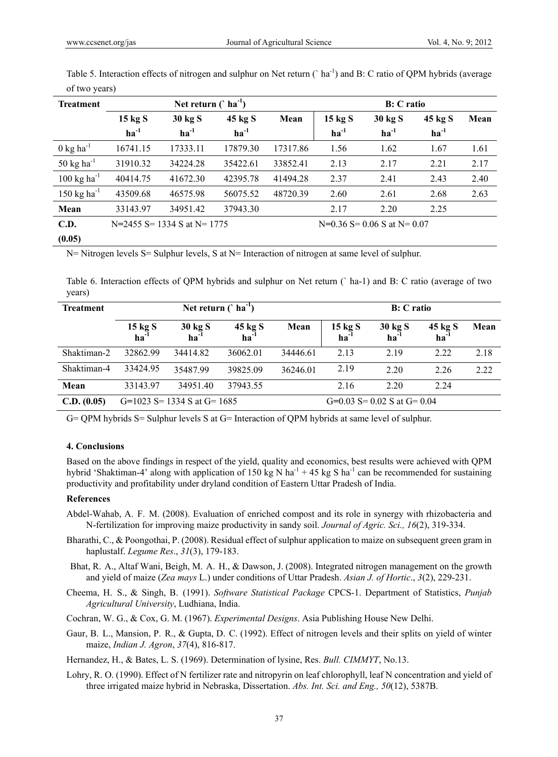| <b>Treatment</b>                 |                             | Net return $($ ha <sup>-1</sup> ) |           |          |                                 |           | <b>B</b> : C ratio          |      |
|----------------------------------|-----------------------------|-----------------------------------|-----------|----------|---------------------------------|-----------|-----------------------------|------|
|                                  | $15 \text{ kg}$ S           | 30 kg S                           | 45 kg S   | Mean     | $15 \text{ kg}$ S               | 30 kg S   | 45 kg S                     | Mean |
|                                  | $\mathbf{h}\mathbf{a}^{-1}$ | $ha^{-1}$                         | $ha^{-1}$ |          | $ha^{-1}$                       | $ha^{-1}$ | $\mathbf{h}\mathbf{a}^{-1}$ |      |
| $0 \text{ kg ha}^{-1}$           | 16741.15                    | 17333.11                          | 17879.30  | 17317.86 | 1.56                            | 1.62      | 1.67                        | 1.61 |
| 50 kg ha <sup>-1</sup>           | 31910.32                    | 34224.28                          | 35422.61  | 33852.41 | 2.13                            | 2.17      | 2.21                        | 2.17 |
| $100 \text{ kg} \text{ ha}^{-1}$ | 40414.75                    | 41672.30                          | 42395.78  | 41494.28 | 2.37                            | 2.41      | 2.43                        | 2.40 |
| $150 \text{ kg} \text{ ha}^{-1}$ | 43509.68                    | 46575.98                          | 56075.52  | 48720.39 | 2.60                            | 2.61      | 2.68                        | 2.63 |
| Mean                             | 33143.97                    | 34951.42                          | 37943.30  |          | 2.17                            | 2.20      | 2.25                        |      |
| C.D.                             | N=2455 S= 1334 S at N= 1775 |                                   |           |          | $N=0.36$ S = 0.06 S at N = 0.07 |           |                             |      |
| (0.05)                           |                             |                                   |           |          |                                 |           |                             |      |

Table 5. Interaction effects of nitrogen and sulphur on Net return (`ha<sup>-1</sup>) and B: C ratio of QPM hybrids (average of two years)

N= Nitrogen levels S= Sulphur levels, S at N= Interaction of nitrogen at same level of sulphur.

Table 6. Interaction effects of QPM hybrids and sulphur on Net return (` ha-1) and B: C ratio (average of two years)

| <b>Treatment</b> |                                          |                           | <b>B</b> : C ratio                    |          |                                |                                |                               |      |
|------------------|------------------------------------------|---------------------------|---------------------------------------|----------|--------------------------------|--------------------------------|-------------------------------|------|
|                  | $\frac{15 \text{ kg S}}{\text{ha}^{-1}}$ | 30 kg S<br>$ha^{-1}$      | $45 \text{ kg S}$<br>ha <sup>-1</sup> | Mean     | $15 \text{ kg S}$<br>$ha^{-1}$ | 30 kg S<br>$ha^{-1}$           | 45 kg S<br>$\mathbf{ha}^{-1}$ | Mean |
| Shaktiman-2      | 32862.99                                 | 34414.82                  | 36062.01                              | 34446.61 | 2.13                           | 2.19                           | 2.22                          | 2.18 |
| Shaktiman-4      | 33424.95                                 | 35487.99                  | 39825.09                              | 36246.01 | 2.19                           | 2.20                           | 2.26                          | 2.22 |
| Mean             | 33143.97                                 | 34951.40                  | 37943.55                              |          | 2.16                           | 2.20                           | 2.24                          |      |
| C.D. (0.05)      |                                          | G=1023 S=1334 S at G=1685 |                                       |          |                                | $G=0.03$ S= 0.02 S at $G=0.04$ |                               |      |

G= QPM hybrids S= Sulphur levels S at G= Interaction of QPM hybrids at same level of sulphur.

# **4. Conclusions**

Based on the above findings in respect of the yield, quality and economics, best results were achieved with QPM hybrid 'Shaktiman-4' along with application of 150 kg N ha<sup>-1</sup> + 45 kg S ha<sup>-1</sup> can be recommended for sustaining productivity and profitability under dryland condition of Eastern Uttar Pradesh of India.

# **References**

- Abdel-Wahab, A. F. M. (2008). Evaluation of enriched compost and its role in synergy with rhizobacteria and N-fertilization for improving maize productivity in sandy soil. *Journal of Agric. Sci., 16*(2), 319-334.
- Bharathi, C., & Poongothai, P. (2008). Residual effect of sulphur application to maize on subsequent green gram in haplustalf. *Legume Res*., *31*(3), 179-183.
- Bhat, R. A., Altaf Wani, Beigh, M. A. H., & Dawson, J. (2008). Integrated nitrogen management on the growth and yield of maize (*Zea mays* L.) under conditions of Uttar Pradesh. *Asian J. of Hortic*., *3*(2), 229-231.
- Cheema, H. S., & Singh, B. (1991). *Software Statistical Package* CPCS-1. Department of Statistics, *Punjab Agricultural University*, Ludhiana, India.
- Cochran, W. G., & Cox, G. M. (1967). *Experimental Designs*. Asia Publishing House New Delhi.
- Gaur, B. L., Mansion, P. R., & Gupta, D. C. (1992). Effect of nitrogen levels and their splits on yield of winter maize, *Indian J. Agron*, *37*(4), 816-817.

Hernandez, H., & Bates, L. S. (1969). Determination of lysine, Res. *Bull. CIMMYT*, No.13.

Lohry, R. O. (1990). Effect of N fertilizer rate and nitropyrin on leaf chlorophyll, leaf N concentration and yield of three irrigated maize hybrid in Nebraska, Dissertation. *Abs. Int. Sci. and Eng., 50*(12), 5387B.